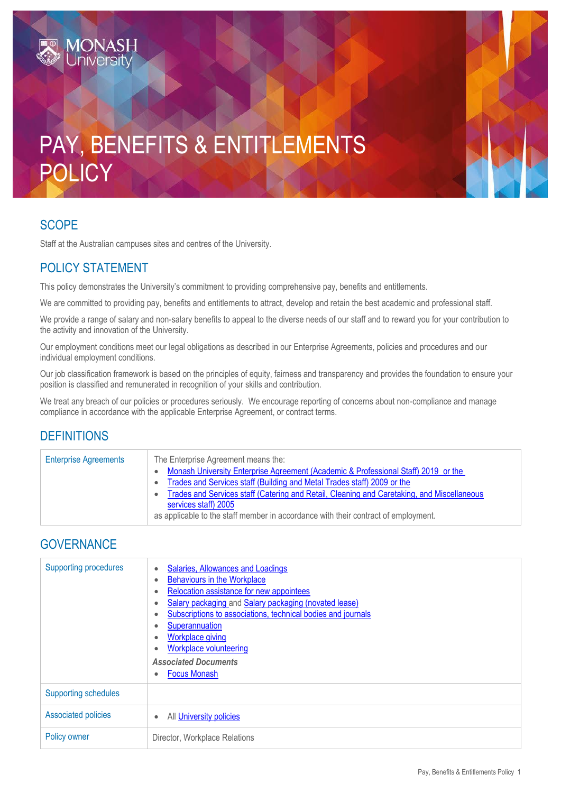# PAY, BENEFITS & ENTITLEMENTS POLICY

#### SCOPE

Staff at the Australian campuses sites and centres of the University.

## POLICY STATEMENT

This policy demonstrates the University's commitment to providing comprehensive pay, benefits and entitlements.

We are committed to providing pay, benefits and entitlements to attract, develop and retain the best academic and professional staff.

We provide a range of salary and non-salary benefits to appeal to the diverse needs of our staff and to reward you for your contribution to the activity and innovation of the University.

Our employment conditions meet our legal obligations as described in our Enterprise Agreements, policies and procedures and our individual employment conditions.

Our job classification framework is based on the principles of equity, fairness and transparency and provides the foundation to ensure your position is classified and remunerated in recognition of your skills and contribution.

We treat any breach of our policies or procedures seriously. We encourage reporting of concerns about non-compliance and manage compliance in accordance with the applicable Enterprise Agreement, or contract terms.

### **DEFINITIONS**

| <b>Enterprise Agreements</b> | The Enterprise Agreement means the:<br>Monash University Enterprise Agreement (Academic & Professional Staff) 2019 or the<br>Trades and Services staff (Building and Metal Trades staff) 2009 or the<br>$\bullet$<br>Trades and Services staff (Catering and Retail, Cleaning and Caretaking, and Miscellaneous<br>$\bullet$<br>services staff) 2005<br>as applicable to the staff member in accordance with their contract of employment. |
|------------------------------|--------------------------------------------------------------------------------------------------------------------------------------------------------------------------------------------------------------------------------------------------------------------------------------------------------------------------------------------------------------------------------------------------------------------------------------------|
|                              |                                                                                                                                                                                                                                                                                                                                                                                                                                            |

#### **GOVERNANCE**

| <b>Supporting procedures</b> | Salaries, Allowances and Loadings<br><b>Behaviours in the Workplace</b><br>Relocation assistance for new appointees<br>Salary packaging and Salary packaging (novated lease)<br>Subscriptions to associations, technical bodies and journals<br>Superannuation<br><b>Workplace giving</b><br>Workplace volunteering<br><b>Associated Documents</b><br><b>Focus Monash</b> |
|------------------------------|---------------------------------------------------------------------------------------------------------------------------------------------------------------------------------------------------------------------------------------------------------------------------------------------------------------------------------------------------------------------------|
| <b>Supporting schedules</b>  |                                                                                                                                                                                                                                                                                                                                                                           |
| <b>Associated policies</b>   | All University policies                                                                                                                                                                                                                                                                                                                                                   |
| Policy owner                 | Director, Workplace Relations                                                                                                                                                                                                                                                                                                                                             |